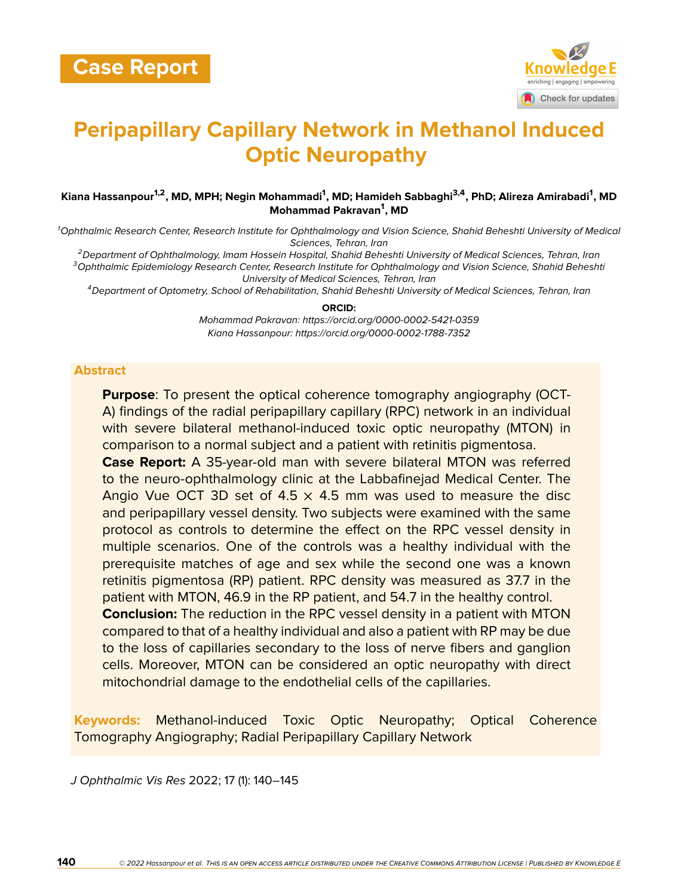

# **Peripapillary Capillary Network in Methanol Induced Optic Neuropathy**

#### **Kiana Hassanpour1,2, MD, MPH; Negin Mohammadi<sup>1</sup> , MD; Hamideh Sabbaghi3,4, PhD; Alireza Amirabadi<sup>1</sup> , MD Mohammad Pakravan<sup>1</sup> , MD**

*<sup>1</sup>Ophthalmic Research Center, Research Institute for Ophthalmology and Vision Science, Shahid Beheshti University of Medical Sciences, Tehran, Iran*

*<sup>2</sup>Department of Ophthalmology, Imam Hossein Hospital, Shahid Beheshti University of Medical Sciences, Tehran, Iran <sup>3</sup>Ophthalmic Epidemiology Research Center, Research Institute for Ophthalmology and Vision Science, Shahid Beheshti University of Medical Sciences, Tehran, Iran*

*<sup>4</sup>Department of Optometry, School of Rehabilitation, Shahid Beheshti University of Medical Sciences, Tehran, Iran*

#### **ORCID:**

*Mohammad Pakravan: https://orcid.org/0000-0002-5421-0359 Kiana Hassanpour: https://orcid.org/0000-0002-1788-7352*

#### **Abstract**

**Purpose**: To present the optical coherence tomography angiography (OCT-A) findings of the radial peripapillary capillary (RPC) network in an individual with severe bilateral methanol-induced toxic optic neuropathy (MTON) in comparison to a normal subject and a patient with retinitis pigmentosa.

**Case Report:** A 35-year-old man with severe bilateral MTON was referred to the neuro-ophthalmology clinic at the Labbafinejad Medical Center. The Angio Vue OCT 3D set of 4.5  $\times$  4.5 mm was used to measure the disc and peripapillary vessel density. Two subjects were examined with the same protocol as controls to determine the effect on the RPC vessel density in multiple scenarios. One of the controls was a healthy individual with the prerequisite matches of age and sex while the second one was a known retinitis pigmentosa (RP) patient. RPC density was measured as 37.7 in the patient with MTON, 46.9 in the RP patient, and 54.7 in the healthy control. **Conclusion:** The reduction in the RPC vessel density in a patient with MTON compared to that of a healthy individual and also a patient with RP may be due to the loss of capillaries secondary to the loss of nerve fibers and ganglion cells. Moreover, MTON can be considered an optic neuropathy with direct mitochondrial damage to the endothelial cells of the capillaries.

**Keywords:** Methanol-induced Toxic Optic Neuropathy; Optical Coherence Tomography Angiography; Radial Peripapillary Capillary Network

*J Ophthalmic Vis Res* 2022; 17 (1): 140–145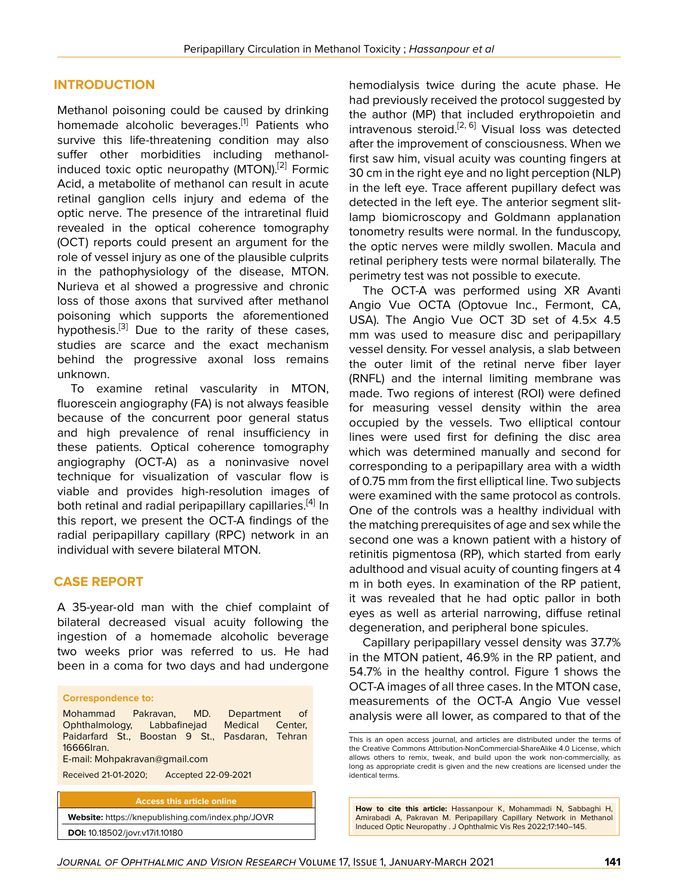## **INTRODUCTION**

Methanol poisoning could be caused by drinking homemade alcoholic beverages.<sup>[[1](#page-4-0)]</sup> Patients who survive this life-threatening condition may also suffer other morbidities including methanolinduced toxic optic neuropathy (MTON).[[2](#page-4-1)] Formic Acid, a metabolite of methanol can result in acute retinal ganglion cells injury and edema of the optic nerve. The presence of the intraretinal fluid revealed in the optical coherence tomography (OCT) reports could present an argument for the role of vessel injury as one of the plausible culprits in the pathophysiology of the disease, MTON. Nurieva et al showed a progressive and chronic loss of those axons that survived after methanol poisoning which supports the aforementioned hypothesis.<sup>[[3](#page-4-2)]</sup> Due to the rarity of these cases, studies are scarce and the exact mechanism behind the progressive axonal loss remains unknown.

To examine retinal vascularity in MTON, fluorescein angiography (FA) is not always feasible because of the concurrent poor general status and high prevalence of renal insufficiency in these patients. Optical coherence tomography angiography (OCT-A) as a noninvasive novel technique for visualization of vascular flow is viable and provides high-resolution images of both retinal and radial peripapillary capillaries.<sup>[\[4\]](#page-4-3)</sup> In this report, we present the OCT-A findings of the radial peripapillary capillary (RPC) network in an individual with severe bilateral MTON.

### **CASE REPORT**

A 35-year-old man with the chief complaint of bilateral decreased visual acuity following the ingestion of a homemade alcoholic beverage two weeks prior was referred to us. He had been in a coma for two days and had undergone

| <b>Correspondence to:</b>                                                                                                                                                                       |                                      |  |
|-------------------------------------------------------------------------------------------------------------------------------------------------------------------------------------------------|--------------------------------------|--|
| Mohammad Pakrayan, MD.<br>Ophthalmology, Labbafinejad Medical Center,<br>Paidarfard St., Boostan 9 St., Pasdaran, Tehran<br>16666 ran.<br>E-mail: Mohpakravan@qmail.com<br>Received 21-01-2020; | Department of<br>Accepted 22-09-2021 |  |
|                                                                                                                                                                                                 |                                      |  |

**Access this article online Website:** <https://knepublishing.com/index.php/JOVR>

**DOI:** 10.18502/jovr.v17i1.10180

hemodialysis twice during the acute phase. He had previously received the protocol suggested by the author (MP) that included erythropoietin and intravenous steroid.<sup>[[2,](#page-4-1) [6\]](#page-4-4)</sup> Visual loss was detected after the improvement of consciousness. When we first saw him, visual acuity was counting fingers at 30 cm in the right eye and no light perception (NLP) in the left eye. Trace afferent pupillary defect was detected in the left eye. The anterior segment slitlamp biomicroscopy and Goldmann applanation tonometry results were normal. In the funduscopy, the optic nerves were mildly swollen. Macula and retinal periphery tests were normal bilaterally. The perimetry test was not possible to execute.

The OCT-A was performed using XR Avanti Angio Vue OCTA (Optovue Inc., Fermont, CA, USA). The Angio Vue OCT 3D set of 4.5× 4.5 mm was used to measure disc and peripapillary vessel density. For vessel analysis, a slab between the outer limit of the retinal nerve fiber layer (RNFL) and the internal limiting membrane was made. Two regions of interest (ROI) were defined for measuring vessel density within the area occupied by the vessels. Two elliptical contour lines were used first for defining the disc area which was determined manually and second for corresponding to a peripapillary area with a width of 0.75 mm from the first elliptical line. Two subjects were examined with the same protocol as controls. One of the controls was a healthy individual with the matching prerequisites of age and sex while the second one was a known patient with a history of retinitis pigmentosa (RP), which started from early adulthood and visual acuity of counting fingers at 4 m in both eyes. In examination of the RP patient, it was revealed that he had optic pallor in both eyes as well as arterial narrowing, diffuse retinal degeneration, and peripheral bone spicules.

Capillary peripapillary vessel density was 37.7% in the MTON patient, 46.9% in the RP patient, and 54.7% in the healthy control. Figure 1 shows the OCT-A images of all three cases. In the MTON case, measurements of the OCT-A Angio Vue vessel analysis were all lower, as compared to that of the

**How to cite this article:** Hassanpour K, Mohammadi N, Sabbaghi H, Amirabadi A, Pakravan M. Peripapillary Capillary Network in Methanol Induced Optic Neuropathy . J Ophthalmic Vis Res 2022;17:140–145.

This is an open access journal, and articles are distributed under the terms of the Creative Commons Attribution-NonCommercial-ShareAlike 4.0 License, which allows others to remix, tweak, and build upon the work non-commercially, as long as appropriate credit is given and the new creations are licensed under the identical terms.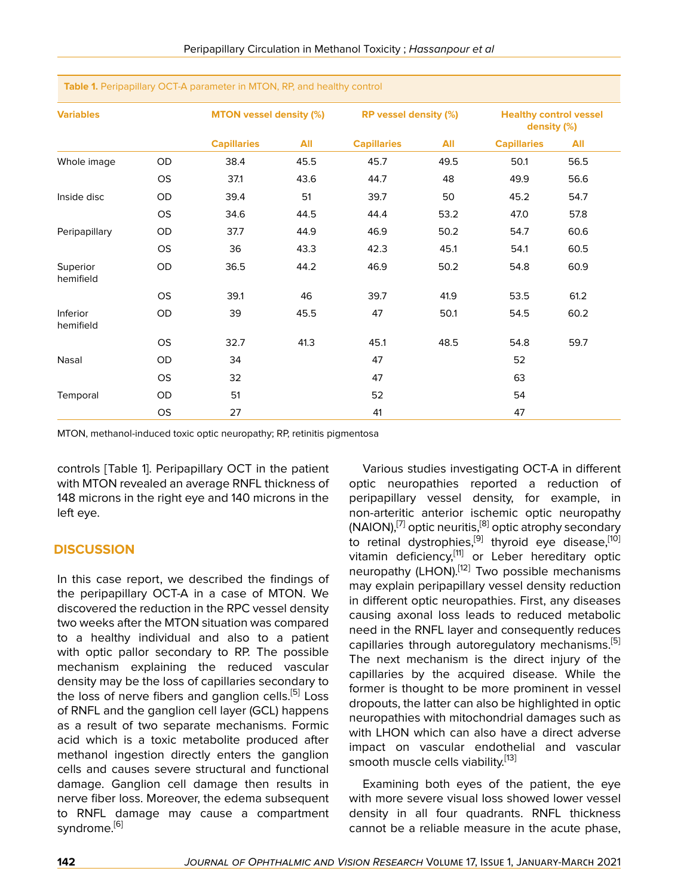| <b>Variables</b>      |           | <b>MTON vessel density (%)</b> |      | RP vessel density (%) |      | <b>Healthy control vessel</b><br>density (%) |      |
|-----------------------|-----------|--------------------------------|------|-----------------------|------|----------------------------------------------|------|
|                       |           | <b>Capillaries</b>             | All  | <b>Capillaries</b>    | All  | <b>Capillaries</b>                           | All  |
| Whole image           | OD        | 38.4                           | 45.5 | 45.7                  | 49.5 | 50.1                                         | 56.5 |
|                       | OS        | 37.1                           | 43.6 | 44.7                  | 48   | 49.9                                         | 56.6 |
| Inside disc           | OD        | 39.4                           | 51   | 39.7                  | 50   | 45.2                                         | 54.7 |
|                       | <b>OS</b> | 34.6                           | 44.5 | 44.4                  | 53.2 | 47.0                                         | 57.8 |
| Peripapillary         | OD        | 37.7                           | 44.9 | 46.9                  | 50.2 | 54.7                                         | 60.6 |
|                       | <b>OS</b> | 36                             | 43.3 | 42.3                  | 45.1 | 54.1                                         | 60.5 |
| Superior<br>hemifield | OD        | 36.5                           | 44.2 | 46.9                  | 50.2 | 54.8                                         | 60.9 |
|                       | <b>OS</b> | 39.1                           | 46   | 39.7                  | 41.9 | 53.5                                         | 61.2 |
| Inferior<br>hemifield | OD        | 39                             | 45.5 | 47                    | 50.1 | 54.5                                         | 60.2 |
|                       | <b>OS</b> | 32.7                           | 41.3 | 45.1                  | 48.5 | 54.8                                         | 59.7 |
| Nasal                 | OD        | 34                             |      | 47                    |      | 52                                           |      |
|                       | <b>OS</b> | 32                             |      | 47                    |      | 63                                           |      |
| Temporal              | OD        | 51                             |      | 52                    |      | 54                                           |      |
|                       | OS        | 27                             |      | 41                    |      | 47                                           |      |

**Table 1.** Peripapillary OCT-A parameter in MTON, RP, and healthy control

MTON, methanol-induced toxic optic neuropathy; RP, retinitis pigmentosa

controls [Table 1]. Peripapillary OCT in the patient with MTON revealed an average RNFL thickness of 148 microns in the right eye and 140 microns in the left eye.

#### **DISCUSSION**

In this case report, we described the findings of the peripapillary OCT-A in a case of MTON. We discovered the reduction in the RPC vessel density two weeks after the MTON situation was compared to a healthy individual and also to a patient with optic pallor secondary to RP. The possible mechanism explaining the reduced vascular density may be the loss of capillaries secondary to the loss of nerve fibers and ganglion cells.<sup>[[5](#page-4-5)]</sup> Loss of RNFL and the ganglion cell layer (GCL) happens as a result of two separate mechanisms. Formic acid which is a toxic metabolite produced after methanol ingestion directly enters the ganglion cells and causes severe structural and functional damage. Ganglion cell damage then results in nerve fiber loss. Moreover, the edema subsequent to RNFL damage may cause a compartment syndrome.<sup>[\[6\]](#page-4-4)</sup>

Various studies investigating OCT-A in different optic neuropathies reported a reduction of peripapillary vessel density, for example, in non-arteritic anterior ischemic optic neuropathy  $(NAION)$ , <sup>[\[7](#page-4-6)]</sup> optic neuritis, <sup>[[8](#page-4-7)]</sup> optic atrophy secondary to retinal dystrophies,<sup>[[9](#page-4-8)]</sup> thyroid eye disease,<sup>[\[10](#page-5-0)]</sup> vitamin deficiency,[[11\]](#page-5-1) or Leber hereditary optic neuropathy (LHON).[[12\]](#page-5-2) Two possible mechanisms may explain peripapillary vessel density reduction in different optic neuropathies. First, any diseases causing axonal loss leads to reduced metabolic need in the RNFL layer and consequently reduces capillaries through autoregulatory mechanisms.<sup>[[5](#page-4-5)]</sup> The next mechanism is the direct injury of the capillaries by the acquired disease. While the former is thought to be more prominent in vessel dropouts, the latter can also be highlighted in optic neuropathies with mitochondrial damages such as with LHON which can also have a direct adverse impact on vascular endothelial and vascular smooth muscle cells viability.<sup>[[13\]](#page-5-3)</sup>

Examining both eyes of the patient, the eye with more severe visual loss showed lower vessel density in all four quadrants. RNFL thickness cannot be a reliable measure in the acute phase,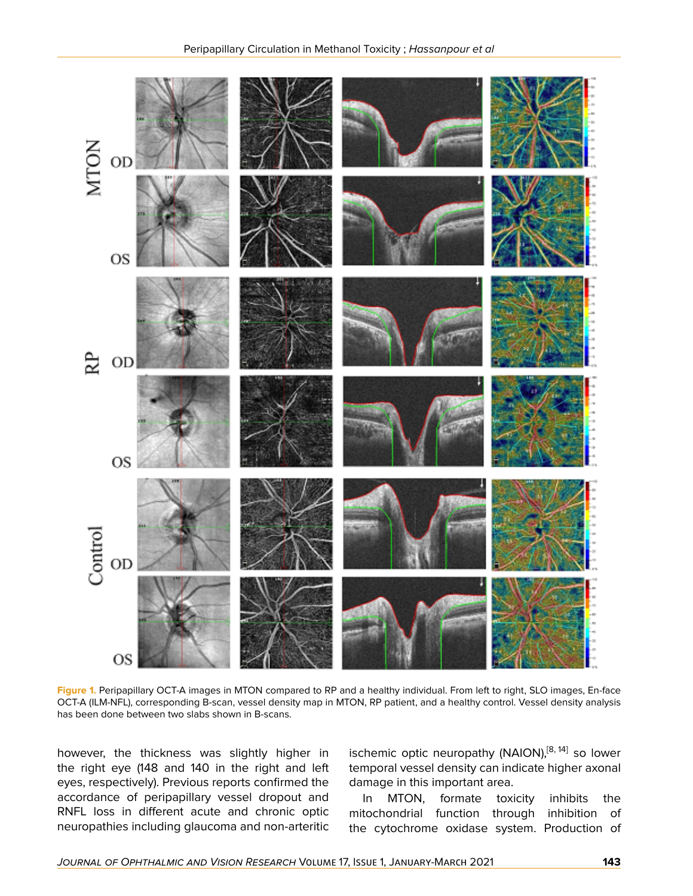

**Figure 1.** Peripapillary OCT-A images in MTON compared to RP and a healthy individual. From left to right, SLO images, En-face OCT-A (ILM-NFL), corresponding B-scan, vessel density map in MTON, RP patient, and a healthy control. Vessel density analysis has been done between two slabs shown in B-scans.

however, the thickness was slightly higher in the right eye (148 and 140 in the right and left eyes, respectively). Previous reports confirmed the accordance of peripapillary vessel dropout and RNFL loss in different acute and chronic optic neuropathies including glaucoma and non-arteritic

ischemic optic neuropathy (NAION),<sup>[\[8,](#page-4-7) [14](#page-5-4)]</sup> so lower temporal vessel density can indicate higher axonal damage in this important area.

In MTON, formate toxicity inhibits the mitochondrial function through inhibition of the cytochrome oxidase system. Production of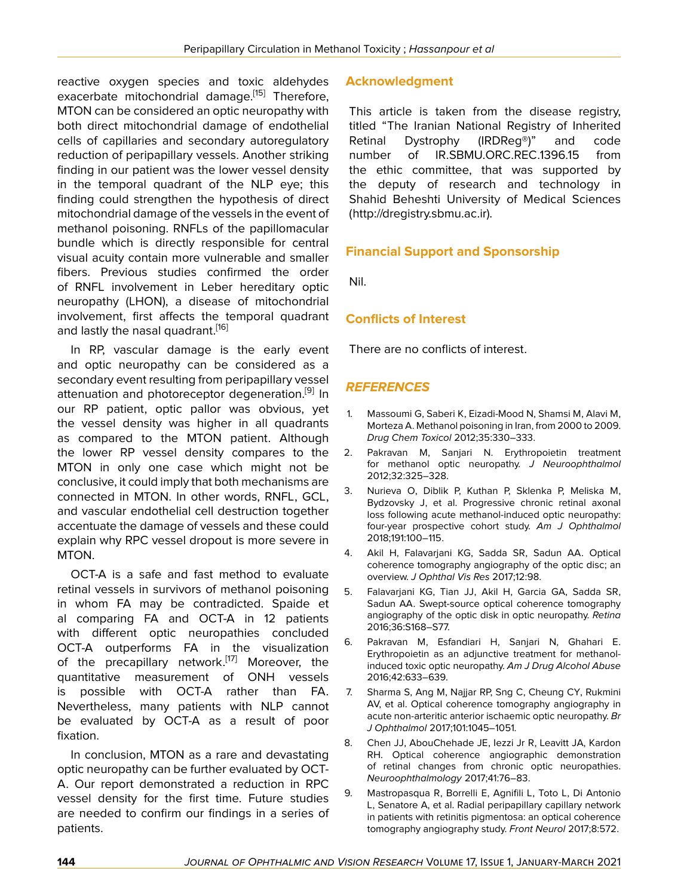reactive oxygen species and toxic aldehydes exacerbate mitochondrial damage.<sup>[\[15\]](#page-5-5)</sup> Therefore, MTON can be considered an optic neuropathy with both direct mitochondrial damage of endothelial cells of capillaries and secondary autoregulatory reduction of peripapillary vessels. Another striking finding in our patient was the lower vessel density in the temporal quadrant of the NLP eye; this finding could strengthen the hypothesis of direct mitochondrial damage of the vessels in the event of methanol poisoning. RNFLs of the papillomacular bundle which is directly responsible for central visual acuity contain more vulnerable and smaller fibers. Previous studies confirmed the order of RNFL involvement in Leber hereditary optic neuropathy (LHON), a disease of mitochondrial involvement, first affects the temporal quadrant and lastly the nasal quadrant.<sup>[[16\]](#page-5-6)</sup>

In RP, vascular damage is the early event and optic neuropathy can be considered as a secondary event resulting from peripapillary vessel attenuation and photoreceptor degeneration.<sup>[\[9\]](#page-4-8)</sup> In our RP patient, optic pallor was obvious, yet the vessel density was higher in all quadrants as compared to the MTON patient. Although the lower RP vessel density compares to the MTON in only one case which might not be conclusive, it could imply that both mechanisms are connected in MTON. In other words, RNFL, GCL, and vascular endothelial cell destruction together accentuate the damage of vessels and these could explain why RPC vessel dropout is more severe in MTON.

OCT-A is a safe and fast method to evaluate retinal vessels in survivors of methanol poisoning in whom FA may be contradicted. Spaide et al comparing FA and OCT-A in 12 patients with different optic neuropathies concluded OCT-A outperforms FA in the visualization of the precapillary network.<sup>[\[17\]](#page-5-7)</sup> Moreover, the quantitative measurement of ONH vessels is possible with OCT-A rather than FA. Nevertheless, many patients with NLP cannot be evaluated by OCT-A as a result of poor fixation.

In conclusion, MTON as a rare and devastating optic neuropathy can be further evaluated by OCT-A. Our report demonstrated a reduction in RPC vessel density for the first time. Future studies are needed to confirm our findings in a series of patients.

## **Acknowledgment**

This article is taken from the disease registry, titled "The Iranian National Registry of Inherited Retinal Dystrophy (IRDReg®)" and code number of IR.SBMU.ORC.REC.1396.15 from the ethic committee, that was supported by the deputy of research and technology in Shahid Beheshti University of Medical Sciences (http://dregistry.sbmu.ac.ir).

## **Financial Support and Sponsorship**

Nil.

## **Conflicts of Interest**

There are no conflicts of interest.

## *REFERENCES*

- <span id="page-4-0"></span>1. Massoumi G, Saberi K, Eizadi-Mood N, Shamsi M, Alavi M, Morteza A. Methanol poisoning in Iran, from 2000 to 2009. *Drug Chem Toxicol* 2012;35:330–333.
- <span id="page-4-1"></span>2. Pakravan M, Sanjari N. Erythropoietin treatment for methanol optic neuropathy. *J Neuroophthalmol* 2012;32:325–328.
- <span id="page-4-2"></span>3. Nurieva O, Diblik P, Kuthan P, Sklenka P, Meliska M, Bydzovsky J, et al. Progressive chronic retinal axonal loss following acute methanol-induced optic neuropathy: four-year prospective cohort study. *Am J Ophthalmol* 2018;191:100–115.
- <span id="page-4-3"></span>4. Akil H, Falavarjani KG, Sadda SR, Sadun AA. Optical coherence tomography angiography of the optic disc; an overview. *J Ophthal Vis Res* 2017;12:98.
- <span id="page-4-5"></span>5. Falavarjani KG, Tian JJ, Akil H, Garcia GA, Sadda SR, Sadun AA. Swept-source optical coherence tomography angiography of the optic disk in optic neuropathy. *Retina* 2016;36:S168–S77.
- <span id="page-4-4"></span>6. Pakravan M, Esfandiari H, Sanjari N, Ghahari E. Erythropoietin as an adjunctive treatment for methanolinduced toxic optic neuropathy. *Am J Drug Alcohol Abuse* 2016;42:633–639.
- <span id="page-4-6"></span>7. Sharma S, Ang M, Najjar RP, Sng C, Cheung CY, Rukmini AV, et al. Optical coherence tomography angiography in acute non-arteritic anterior ischaemic optic neuropathy. *Br J Ophthalmol* 2017;101:1045–1051.
- <span id="page-4-7"></span>8. Chen JJ, AbouChehade JE, Iezzi Jr R, Leavitt JA, Kardon RH. Optical coherence angiographic demonstration of retinal changes from chronic optic neuropathies. *Neuroophthalmology* 2017;41:76–83.
- <span id="page-4-8"></span>9. Mastropasqua R, Borrelli E, Agnifili L, Toto L, Di Antonio L, Senatore A, et al. Radial peripapillary capillary network in patients with retinitis pigmentosa: an optical coherence tomography angiography study. *Front Neurol* 2017;8:572.